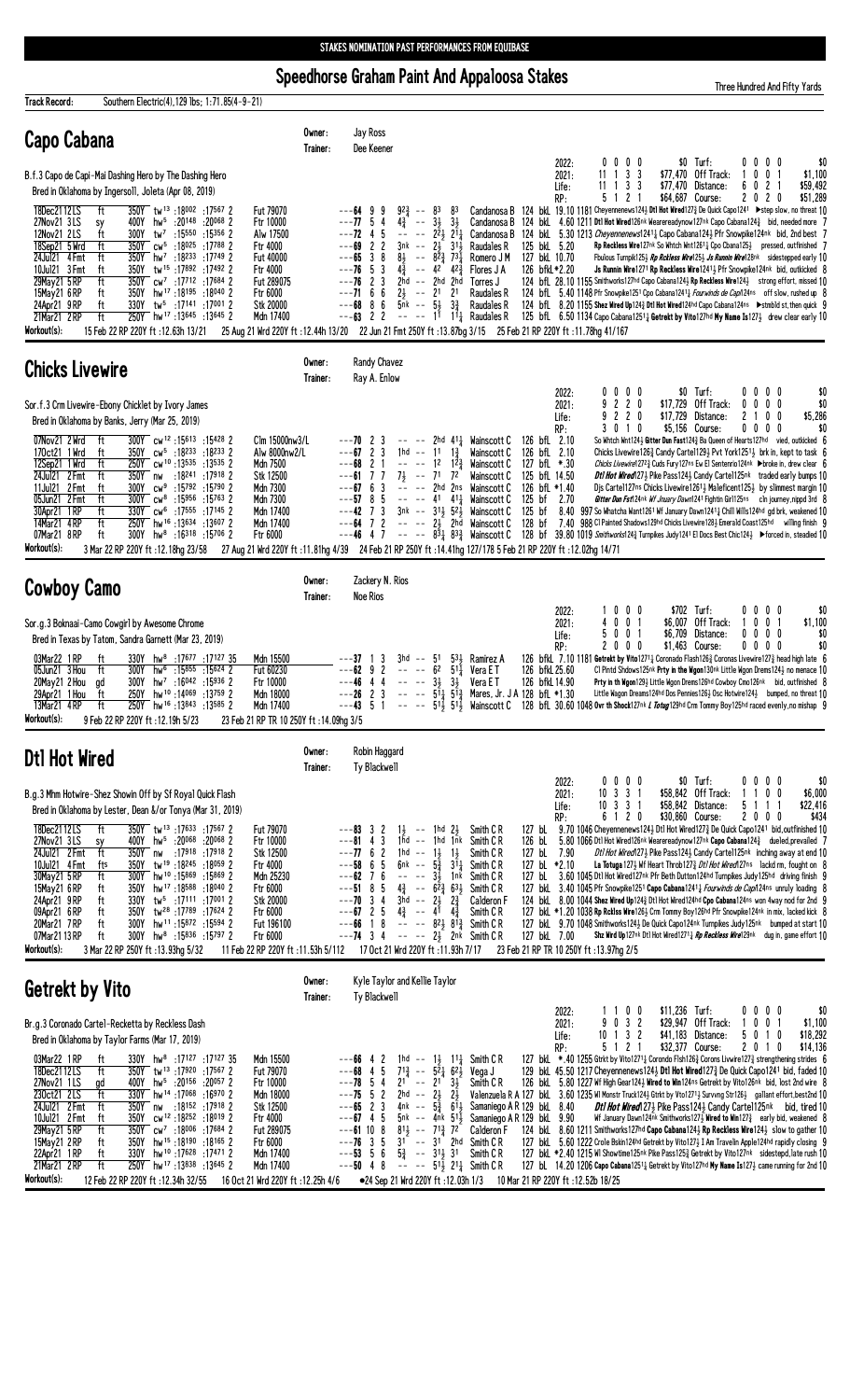Speedhorse Graham Paint And Appaloosa Stakes

Three Hundred And Fifty Yards

| <b>Track Record:</b><br>Southern Electric(4), 129 lbs; 1:71.85(4-9-21)                                                                                                                                                                                                                                                                                                                                                                                                                                                                                                                                                                                                                                                                     |                                                                                                                                                                     |                                                                                                                                                                                                                                                                                                                                                                                                                                                                                                                                                                    |                                                                                                                                                                                                                                                                                                                                                                                      |                                                                                                                                                                                                                            |                                                                                         |                                                        |                                                                                 |                                                                                                                                                                                                                                                                                                                                                                                                                                                                                                                                                                                                                                                                                                                                                                                                                                                                                                                                                                                                                                                                                                                               |
|--------------------------------------------------------------------------------------------------------------------------------------------------------------------------------------------------------------------------------------------------------------------------------------------------------------------------------------------------------------------------------------------------------------------------------------------------------------------------------------------------------------------------------------------------------------------------------------------------------------------------------------------------------------------------------------------------------------------------------------------|---------------------------------------------------------------------------------------------------------------------------------------------------------------------|--------------------------------------------------------------------------------------------------------------------------------------------------------------------------------------------------------------------------------------------------------------------------------------------------------------------------------------------------------------------------------------------------------------------------------------------------------------------------------------------------------------------------------------------------------------------|--------------------------------------------------------------------------------------------------------------------------------------------------------------------------------------------------------------------------------------------------------------------------------------------------------------------------------------------------------------------------------------|----------------------------------------------------------------------------------------------------------------------------------------------------------------------------------------------------------------------------|-----------------------------------------------------------------------------------------|--------------------------------------------------------|---------------------------------------------------------------------------------|-------------------------------------------------------------------------------------------------------------------------------------------------------------------------------------------------------------------------------------------------------------------------------------------------------------------------------------------------------------------------------------------------------------------------------------------------------------------------------------------------------------------------------------------------------------------------------------------------------------------------------------------------------------------------------------------------------------------------------------------------------------------------------------------------------------------------------------------------------------------------------------------------------------------------------------------------------------------------------------------------------------------------------------------------------------------------------------------------------------------------------|
| Capo Cabana                                                                                                                                                                                                                                                                                                                                                                                                                                                                                                                                                                                                                                                                                                                                | Owner:<br>Trainer:                                                                                                                                                  | Jay Ross<br>Dee Keener                                                                                                                                                                                                                                                                                                                                                                                                                                                                                                                                             |                                                                                                                                                                                                                                                                                                                                                                                      |                                                                                                                                                                                                                            | 2022:                                                                                   | $0\,0\,0\,0$                                           | \$0 Turf:                                                                       | 0000<br>\$0                                                                                                                                                                                                                                                                                                                                                                                                                                                                                                                                                                                                                                                                                                                                                                                                                                                                                                                                                                                                                                                                                                                   |
| B.f.3 Capo de Capi-Mai Dashing Hero by The Dashing Hero<br>Bred in Oklahoma by Ingersoll, Joleta (Apr 08, 2019)                                                                                                                                                                                                                                                                                                                                                                                                                                                                                                                                                                                                                            |                                                                                                                                                                     |                                                                                                                                                                                                                                                                                                                                                                                                                                                                                                                                                                    |                                                                                                                                                                                                                                                                                                                                                                                      |                                                                                                                                                                                                                            | 2021:<br>Life:<br>RP:                                                                   | $11 \t1 \t3 \t3$<br>$11 \t1 \t3 \t3$<br>5 1 2 1        | \$77,470 Off Track:<br>\$77,470 Distance:<br>\$64,687 Course:                   | $0 \t0 \t1$<br>\$1,100<br>6 0 2 1<br>\$59,492<br>2020<br>\$51,289                                                                                                                                                                                                                                                                                                                                                                                                                                                                                                                                                                                                                                                                                                                                                                                                                                                                                                                                                                                                                                                             |
| 18Dec2112LS<br>ft<br>350Y tw <sup>13</sup> :18002:175672<br>hw <sup>5</sup> :20148 :20068 2<br>27Nov21 3LS<br>400Y<br>sy<br>300Y tw <sup>7</sup> :15550 :15356 2<br>ft<br>12Nov21 2LS<br>350Y cw <sup>5</sup> :18025 :17788 2<br>18Sep21 5 Wrd<br>ft<br>24Jul21 4 Fmt<br>ft<br>350Y hw <sup>7</sup> :18 <sup>233</sup> :17749 2<br>350Y tw <sup>15</sup> :17892:174922<br>10Jul21 3 Fmt<br>ft<br>350Y cw <sup>7</sup> :17712 :17684 2<br>29May21 5 RP<br>ft<br>ft<br>350Y hw <sup>17</sup> :18195:18040 2<br>15May21 6RP<br>24Apr21 9RP<br>ft<br>330Y tw <sup>5</sup> :17141 :17001 2<br>ft<br>250Y hw <sup>17</sup> :13645:136452<br>21Mar21 2RP<br>Workout(s):<br>15 Feb 22 RP 220Y ft: 12.63h 13/21                                     | Fut 79070<br>Ftr 10000<br>Alw 17500<br>Ftr 4000<br>Fut 40000<br>Ftr 4000<br>Fut 289075<br>Ftr 6000<br>Stk 20000<br>Mdn 17400                                        | $92\frac{3}{4}$ -- 83<br>$---64$ 9 9<br>$--77.54$<br>$4\frac{3}{4}$ --<br>$--72$ 4 5<br>$---69$ 2 2<br>$---65$ 3 8<br>$--76$ 5 3<br>$---76$ 2 3<br>$---71$ 6 6<br>$---68$ 8 6<br>$5nk - 53$<br>$---63$ 2 2<br>25 Aug 21 Wrd 220Y ft:12.44h 13/20 22 Jun 21 Fmt 250Y ft:13.87bg 3/15 25 Feb 21 RP 220Y ft:11.78hg 41/167                                                                                                                                                                                                                                            | 83<br>$3\frac{1}{2}$ $3\frac{1}{2}$<br>$  2\overline{2}$ $2\overline{1}$<br>$3nk$ -- $2\frac{1}{2}$ $31\frac{1}{2}$<br>$8\frac{1}{2}$ -- $8\overline{2}$ $\frac{3}{4}$ $73\overline{1}$<br>$4\frac{3}{4}$ -- $42^{7}$ $42\frac{3}{4}$<br>2hd -- 2hd 2hd<br>$2\frac{1}{2}$ -- $21$ 21<br>$3\frac{3}{7}$                                                                               | Candanosa B<br>Raudales R<br>Romero J M<br>Flores J A<br>Torres J<br>Raudales R<br>Raudales R<br>$--- 1^1 1^1$ Raudales R                                                                                                  | 125 bkL 5.20<br>127 bkL 10.70<br>126 bfkL*2.20                                          |                                                        |                                                                                 | 124 bkl 19.10 1181 Cheyennenews124½ Dtl Hot Wired127 $\frac{3}{4}$ De Quick Capo1241 > step slow, no threat 10<br>Candanosa B 124 bkl 4.60 1211 Dtl Hot Wired126nk Wearereadynow127nk Capo Cabana124 $\frac{3}{4}$ bid, needed more 7<br>Candanosa B 124 bkl 5.30 1213 Cheyennenews12414 Capo Cabana1243 Pfr Snowpike124nk bid, 2nd best 7<br><b>Rp Reckless Wire</b> 127 <sup>nk</sup> So Whtch Wnt1261 <sup>1</sup> Cpo Cbana 125 <sup>1</sup> pressed, outfinished 7<br>Fbulous Turnpik125 $\frac{1}{2}$ Rp Rckless Wire125 $\frac{1}{2}$ Js Runnin Wire128nk sidestepped early 10<br>Js Runnin Wire1271 Rp Reckless Wire12413 Pfr Snowpike124nk bid, outkicked 8<br>124 bfl. 28.10 1155 Smithworks127hd Capo Cabana124} Rp Reckless Wire124} strong effort, missed 10<br>124 bfl. 5.40 1148 Pfr Snowpike1251 Cpo Cabana1241 <i>Fourwinds de Capi</i> 124ns off slow, rushed up 8<br>124 bfl. 8.20 1155 Shez Wired Up124 <sup>3</sup> Dtl Hot Wired124hd Capo Cabana124ns > stmbld st, then quick 9<br>125 bfl. 6.50 1134 Capo Cabana1251 <sub>4</sub> Getrekt by Vito127hd My Name Is127 <sub>2</sub> drew clear early 10 |
| <b>Chicks Livewire</b>                                                                                                                                                                                                                                                                                                                                                                                                                                                                                                                                                                                                                                                                                                                     | Owner:<br>Trainer:                                                                                                                                                  | <b>Randy Chavez</b><br>Ray A. Enlow                                                                                                                                                                                                                                                                                                                                                                                                                                                                                                                                |                                                                                                                                                                                                                                                                                                                                                                                      |                                                                                                                                                                                                                            |                                                                                         |                                                        |                                                                                 |                                                                                                                                                                                                                                                                                                                                                                                                                                                                                                                                                                                                                                                                                                                                                                                                                                                                                                                                                                                                                                                                                                                               |
| Sor.f.3 Crm Livewire-Ebony Chicklet by Ivory James<br>Bred in Oklahoma by Banks, Jerry (Mar 25, 2019)<br>ft<br>300Y cw <sup>12</sup> :15613:15428 2<br>07Nov21 2 Wrd                                                                                                                                                                                                                                                                                                                                                                                                                                                                                                                                                                       | Clm 15000nw3/L                                                                                                                                                      | $---70$ 2 3                                                                                                                                                                                                                                                                                                                                                                                                                                                                                                                                                        |                                                                                                                                                                                                                                                                                                                                                                                      | $---$ 2hd 411 Wainscott C                                                                                                                                                                                                  | 2022:<br>2021:<br>Life:<br>RP:<br>126 bfL 2.10                                          | 0000<br>9220<br>9220<br>3 0 1 0                        | $$0$ Turf:<br>\$17.729 Off Track:<br>\$17,729 Distance:<br>\$5,156 Course:      | 0000<br>\$0<br>$0\ 0\ 0\ 0$<br>\$0<br>2 1 0 0<br>\$5,286<br>0000<br>\$0<br>So Whtch Wnt1243 Gitter Dun Fast1243 Ba Queen of Hearts127hd vied, outkicked 6                                                                                                                                                                                                                                                                                                                                                                                                                                                                                                                                                                                                                                                                                                                                                                                                                                                                                                                                                                     |
| 170ct21 1 Wrd<br>350Y cw <sup>5</sup> :18 <sup>233</sup> :18 <sup>233</sup> 2<br>ft<br>12Sep21 1 Wrd<br>ft<br>250Y cw <sup>10</sup> :13535:135352<br>24Jul21 2 Fmt<br>ft<br>350Y nw<br>2 17918: 18241:<br>$cw9$ :15792 :15790 2<br>11Jul21 2 Fmt<br>ft<br>300Y<br>05Jun21 2 Fmt<br>ft<br>300Y cw <sup>8</sup> :15956 :15763 2<br>30Apr21 1RP<br>ft<br>330Y cw <sup>6</sup> :17555 :17145 2<br>hw <sup>16</sup> :13634:136072<br>14Mar21 4RP<br>ft<br>250Y                                                                                                                                                                                                                                                                                  | Alw 8000nw2/L<br>Mdn 7500<br>Stk 12500<br>Mdn 7300<br>Mdn 7300<br>Mdn 17400<br>Mdn 17400                                                                            | $---67$ 2 3<br>$---68$ 2 1<br>$---61$ 7 7<br>$---67$ 6 3<br>$---57$ 8 5<br>$---42$ 7 3 3nk $---313$ 5 <sup>2</sup> Wainscott C<br>$---64$ 7 2 $---23$ 2hd Wainscott C                                                                                                                                                                                                                                                                                                                                                                                              | 1hd -- 11 1 $\frac{3}{4}$<br>$7\frac{1}{2}$ -- $7^{1}$ $7^{2}$                                                                                                                                                                                                                                                                                                                       | Wainscott C<br>$--- 1^2$ $1^2\frac{3}{4}$ Wainscott C<br>Wainscott C<br>$ -$ 2hd 2ns Wainscott C<br>$--- 41 41\frac{1}{4}$ Wainscott C<br>125 bf<br>125 bf                                                                 | 126 bfL 2.10<br>127 bfL *.30<br>125 bfL 14.50<br>126 bfL *1.40<br>2.70                  |                                                        |                                                                                 | Chicks Livewire1263 Candy Carte11293 Pvt York12513 brk in, kept to task 6<br>Chicks Livewire1272} Cuds Fury127ns Ew El Sentenrio124nk ▶broke in, drew clear 6<br><b>Dt1 Hot Wired</b> 1273 Pike Pass1243 Candy Carte1125nk traded early bumps 10<br>Djs Cartel127ns Chicks Livewire12613 Maleficent1253 by slimmest margin 10<br>Gitter Dun Fst124nk Wf Jnuary Dawn1241 Fightin Girl125ns cln journey, nippd 3rd 8<br>$8.40$ 997 So Whatcha Want1261 Wf January Dawn1241 $\frac{1}{4}$ Chill Wills124hd gd brk, weakened 10<br>128 bf 7.40 988 Cl Painted Shadows129hd Chicks Livewire1283 Emerald Coast125hd willing finish 9                                                                                                                                                                                                                                                                                                                                                                                                                                                                                                |
| 07Mar21 8RP<br>ft<br>$300Y$ hw <sup>8</sup> :16 <sup>318</sup> :15706 2<br>Workout(s):<br>3 Mar 22 RP 220Y ft: 12.18hg 23/58                                                                                                                                                                                                                                                                                                                                                                                                                                                                                                                                                                                                               | Ftr 6000                                                                                                                                                            | 27 Aug 21 Wrd 220Y ft :11.81hg 4/39 24 Feb 21 RP 250Y ft :14.41hg 127/178 5 Feb 21 RP 220Y ft :12.02hg 14/71                                                                                                                                                                                                                                                                                                                                                                                                                                                       |                                                                                                                                                                                                                                                                                                                                                                                      |                                                                                                                                                                                                                            |                                                                                         |                                                        |                                                                                 | $---46$ 4 7 $--- 83\frac{1}{4}$ 83 $\frac{3}{4}$ Wainscott C 128 bf 39.80 1019 <i>Smithwork</i> s124 $\frac{3}{4}$ Turnpikes Judy 1241 El Docs Best Chic124 $\frac{1}{2}$ > Forced in, steadied 10                                                                                                                                                                                                                                                                                                                                                                                                                                                                                                                                                                                                                                                                                                                                                                                                                                                                                                                            |
| <b>Cowboy Camo</b>                                                                                                                                                                                                                                                                                                                                                                                                                                                                                                                                                                                                                                                                                                                         | Owner:<br>Trainer:                                                                                                                                                  | Zackery N. Rios<br><b>Noe Rios</b>                                                                                                                                                                                                                                                                                                                                                                                                                                                                                                                                 |                                                                                                                                                                                                                                                                                                                                                                                      |                                                                                                                                                                                                                            | 2022:                                                                                   | 1000                                                   | \$702 Turf:                                                                     | 0000<br>\$0                                                                                                                                                                                                                                                                                                                                                                                                                                                                                                                                                                                                                                                                                                                                                                                                                                                                                                                                                                                                                                                                                                                   |
| Sor.g.3 Boknaai-Camo Cowgirl by Awesome Chrome<br>Bred in Texas by Tatom, Sandra Garnett (Mar 23, 2019)                                                                                                                                                                                                                                                                                                                                                                                                                                                                                                                                                                                                                                    |                                                                                                                                                                     |                                                                                                                                                                                                                                                                                                                                                                                                                                                                                                                                                                    |                                                                                                                                                                                                                                                                                                                                                                                      |                                                                                                                                                                                                                            | 2021:<br>Life:<br>RP:                                                                   | 4001<br>5001<br>2000                                   | \$6,007 Off Track:<br>\$6,709 Distance:<br>\$1,463 Course:                      | 1 0 0 1<br>\$1,100<br>$0\ 0\ 0\ 0$<br>\$0<br>$0\ 0\ 0\ 0$<br>\$0                                                                                                                                                                                                                                                                                                                                                                                                                                                                                                                                                                                                                                                                                                                                                                                                                                                                                                                                                                                                                                                              |
| 03Mar22 1 RP<br>330Y hw <sup>8</sup> :17677 :17127 35<br>ft<br>ft<br>hw <sup>6</sup> :15855 :15624 2<br>05Jun21 3 Hou<br>300Y<br>20May21 2 Hou<br>hw <sup>7</sup> :16 <sup>042</sup> :159362<br>300Y<br>ad<br>29Apr21 1 Hou<br>ft<br>250Y hw <sup>10</sup> :14069 :13759 2<br>ft<br>250Y hw <sup>16</sup> :13843 :13585 2<br>13Mar21 4 RP<br>Workout(s):<br>9 Feb 22 RP 220Y ft: 12.19h 5/23                                                                                                                                                                                                                                                                                                                                               | Mdn 15500<br>Fut 60230<br>Ftr 10000<br>Mdn 18000<br>Mdn 17400<br>23 Feb 21 RP TR 10 250Y ft : 14.09hg 3/5                                                           | 3<br>3hd<br>$\sim$ $\sim$<br>$---62$ 9 2<br>$\sigma\sigma\to\sigma\pi$<br>$---46$ 4 4<br>$---26$ 2 3<br>$---43$ 5 1 $--- 51\frac{1}{2}$ 51 <sup><math>\frac{1}{2}</math></sup> Wainscott C                                                                                                                                                                                                                                                                                                                                                                         | $53\frac{1}{2}$<br>51<br>6 <sup>2</sup><br>$5^{11}$<br>$-- -3\frac{1}{2}$ 3                                                                                                                                                                                                                                                                                                          | Ramirez A<br>Vera E T<br>Vera E T<br>$--- 5^{11}$ , 5 <sup>13</sup> , Mares, Jr. J A 128 bfL *1.30                                                                                                                         | 126 bfkL 25.60<br>126 bfkL 14.90                                                        |                                                        |                                                                                 | 126 bfkl 7.10 1181 Getrekt by Vito12714 Coronado Flash1263 Coronas Livewire1273 head high late 6<br>Cl Pintd Shdows125nk Prty in the Wgon130nk Little Wgon Drems1243 no menace 10<br>Prty in th Wgon1291 Little Wgon Drems126hd Cowboy Cmo126nk bid, outfinished 8<br>Little Wagon Dreams124hd Dos Pennies126} Osc Hotwire124} bumped, no threat 10<br>128 bfL 30.60 1048 Ovr th Shock127nk <i>L Totug</i> 129hd Crm Tommy Boy 125hd raced evenly, no mishap 9                                                                                                                                                                                                                                                                                                                                                                                                                                                                                                                                                                                                                                                                |
| Dtl Hot Wired                                                                                                                                                                                                                                                                                                                                                                                                                                                                                                                                                                                                                                                                                                                              | Owner:<br>Trainer:                                                                                                                                                  | Robin Haggard<br>Ty Blackwell                                                                                                                                                                                                                                                                                                                                                                                                                                                                                                                                      |                                                                                                                                                                                                                                                                                                                                                                                      |                                                                                                                                                                                                                            |                                                                                         |                                                        |                                                                                 |                                                                                                                                                                                                                                                                                                                                                                                                                                                                                                                                                                                                                                                                                                                                                                                                                                                                                                                                                                                                                                                                                                                               |
| B.g.3 Mhm Hotwire-Shez Showin Off by Sf Royal Quick Flash<br>Bred in Oklahoma by Lester, Dean &/or Tonya (Mar 31, 2019)                                                                                                                                                                                                                                                                                                                                                                                                                                                                                                                                                                                                                    |                                                                                                                                                                     |                                                                                                                                                                                                                                                                                                                                                                                                                                                                                                                                                                    |                                                                                                                                                                                                                                                                                                                                                                                      |                                                                                                                                                                                                                            | 2022:<br>2021:<br>Life:<br>RP:                                                          | $0\,0\,0\,0$<br>$10 \t3 \t3 \t1$<br>$10$ 3 3 1<br>6120 | $$0$ Turf:<br>\$58,842 Off Track:<br>\$58,842 Distance:<br>\$30,860 Course:     | $0\ 0\ 0\ 0$<br>\$0<br>1 1 0 0<br>\$6,000<br>5 1 1 1<br>\$22,416<br>\$434<br>2000                                                                                                                                                                                                                                                                                                                                                                                                                                                                                                                                                                                                                                                                                                                                                                                                                                                                                                                                                                                                                                             |
| 350Y tw <sup>13</sup> :17633:17567 2<br>18Dec2112LS<br>ft<br>27Nov21 3LS<br>hw <sup>5</sup> :20 <sup>068</sup> :20 <sup>068</sup> 2<br>400Y<br>sy<br>$\overline{\text{ft}}$<br>24Jul21 2 Fmt<br>350Y nw :17918 :17918 2<br>350Y tw <sup>19</sup> :18245:18059 2<br>10Jul21 4 Fmt<br>fts<br>ft<br>300Y hw <sup>10</sup> :15869:15869 2<br>30May21 5 RP<br>15May21 6RP<br>350Y hw <sup>17</sup> :18588 :18040 2<br>ft<br>330Y tw <sup>5</sup> :17111 :17001 2<br>24Apr21 9RP<br>ft<br>09Apr21 6RP<br>350Y tw <sup>28</sup> :17 <sup>89</sup> :17624 2<br>ft<br>300Y hw <sup>11</sup> :15872 :15594 2<br>20Mar21 7RP<br>ft<br>07Mar21 13 RP<br>ft<br>300Y hw <sup>8</sup> :15836 :15797 2<br>Workout(s):<br>3 Mar 22 RP 250Y ft: 13.93hg 5/32 | Fut 79070<br>Ftr 10000<br>Stk 12500<br>Ftr 4000<br>Mdn 25230<br>Ftr 6000<br>Stk 20000<br>Ftr 6000<br>Fut 196100<br>Ftr 6000<br>11 Feb 22 RP 220Y ft: 11.53h 5/112   | $---83$ 3 2<br>$--81$ 4 3<br>$---7762$<br>$---58$ 6 5<br>6nk -- $5\frac{3}{4}$<br>--58 b b c<br>--62 7 6 -- -- 3 <sup>3</sup> 1<br>--51 8 5 4 <sup>3</sup> -- 6 <sup>2</sup> <sup>3</sup> 6 <sup>3</sup> <sup>1</sup><br>--70 3 4 3hd -- 2 <sup>1</sup> 2 <sup>3</sup><br>--67 2 5 4 <sup>3</sup> -- 4 <sup>1</sup> 4 <sup>3</sup><br>-- 82 <sup>3</sup> 8 <sup>13</sup><br>$---66$ 1 8 $---$ 8 <sup>2</sup> / <sub>2</sub> 8 <sup>1</sup> / <sub>4</sub> <sup>3</sup> Smith CR<br>$---74$ 3 4 $---22$ $2n\vec{k}$ Smith CR<br>17 Oct 21 Wrd 220Y ft : 11.93h 7/17 | $1\frac{1}{2}$ -- 1hd $2\frac{1}{2}$<br>$1hd$ -- $1hd$ $1hk$<br>1hd -- $1\frac{1}{2}$ $1\frac{1}{2}$<br>$3^{11}$                                                                                                                                                                                                                                                                     | Smith C R<br>127 bL<br>Smith C R<br>126 bL<br>Smith C R<br>Smith C R<br>Smith C R<br>Smith C R<br><b>Calderon F</b><br>Smith C R                                                                                           | 127 bL 7.90<br>127 bL *2.10<br>127 bkL 7.00<br>23 Feb 21 RP TR 10 250Y ft : 13.97hg 2/5 |                                                        |                                                                                 | 9.70 1046 Cheyennenews1243 Dtl Hot Wired1273 De Quick Capo1241 bid, outfinished 10<br>5.80 1066 Dtl Hot Wired126nk Wearereadynow127nk Capo Cabana124 $\frac{3}{4}$ dueled, prevailed 7<br>Dt1 Hot Wired 1273 Pike Pass 1243 Candy Cartel 125nk inching away at end 10<br>La Totuga 127 $\frac{1}{2}$ Wf Heart Throb127 $\frac{2}{4}$ <i>Dtl Hot Wired</i> 127ns lackd rm, fought on 8<br>127 bl. 3.60 1045 Dtl Hot Wired127nk Pfr Beth Dutton124hd Turnpikes Judy125hd driving finish 9<br>127 bkl 3.40 1045 Pfr Snowpike1251 Capo Cabana1241 <sub>4</sub> Fourwinds de Cap/124ns unruly loading 8<br>124 bkl 8.00 1044 Shez Wired Up1243 Dtl Hot Wired124hd Cpo Cabana124ns won 4way nod for 2nd 9<br>127 bkL *1.20 1038 Rp Rcklss Wire1263 Crm Tommy Boy126hd Pfr Snowpike124nk in mix, lacked kick 8<br>127 bkl 9.70 1048 Smithworks124} De Quick Capo124nk Turnpikes Judy125nk bumped at start 10<br>Shz Wird Up127nk Dtl Hot Wired1271 <sub>4</sub> Rp Reckless Wire129nk dug in, game effort 10                                                                                                                         |
| <b>Getrekt by Vito</b>                                                                                                                                                                                                                                                                                                                                                                                                                                                                                                                                                                                                                                                                                                                     | Owner:<br>Trainer:                                                                                                                                                  | Kyle Taylor and Kellie Taylor<br>Ty Blackwell                                                                                                                                                                                                                                                                                                                                                                                                                                                                                                                      |                                                                                                                                                                                                                                                                                                                                                                                      |                                                                                                                                                                                                                            |                                                                                         |                                                        |                                                                                 |                                                                                                                                                                                                                                                                                                                                                                                                                                                                                                                                                                                                                                                                                                                                                                                                                                                                                                                                                                                                                                                                                                                               |
| Br.g.3 Coronado Cartel-Recketta by Reckless Dash<br>Bred in Oklahoma by Taylor Farms (Mar 17, 2019)                                                                                                                                                                                                                                                                                                                                                                                                                                                                                                                                                                                                                                        |                                                                                                                                                                     |                                                                                                                                                                                                                                                                                                                                                                                                                                                                                                                                                                    |                                                                                                                                                                                                                                                                                                                                                                                      |                                                                                                                                                                                                                            | 2022:<br>2021:<br>Life:<br>RP:                                                          | 1100<br>9 0 3 2<br>$10 \t1 \t3 \t2$<br>5 1 2 1         | \$11,236 Turf:<br>\$29,947 Off Track:<br>\$41,183 Distance:<br>\$32,377 Course: | \$0<br>$0\,0\,0\,0$<br>1001<br>\$1,100<br>\$18,292<br>5010<br>2010<br>\$14,136                                                                                                                                                                                                                                                                                                                                                                                                                                                                                                                                                                                                                                                                                                                                                                                                                                                                                                                                                                                                                                                |
| 03Mar22 1 RP<br>330Y hw <sup>8</sup> :17127 :17127 35<br>ft<br>ft<br>18Dec2112LS<br>350Y tw <sup>13</sup> :17920:17567 2<br>27Nov21 1LS<br>400Y hw <sup>5</sup> :20156 :20057 2<br>gd<br>230ct21 2LS<br>ft<br>330Y hw <sup>14</sup> :17068:169702<br>24Ju121 2 Fmt<br>ft<br>350Y nw :18152 :17918 2<br>350Y cw <sup>12</sup> :18252:18019 2<br>10Jul21 2 Fmt<br>ft<br>29May21 5 RP<br>ft<br>350Y cw <sup>7</sup> :18006 :17684 2<br>15May21 2RP<br>ft<br>350Y hw <sup>15</sup> :18190:18165 2<br>22Apr21 1RP<br>330Y hw <sup>10</sup> :17 <sup>628</sup> :174712<br>ft<br>21Mar21 2RP<br>250Y hw <sup>17</sup> :13838 :13645 2<br>ft<br>Workout(s):<br>12 Feb 22 RP 220Y ft : 12.34h 32/55                                                 | Mdn 15500<br>Fut 79070<br>Ftr 10000<br>Mdn 18000<br>Stk 12500<br>Ftr 4000<br>Fut 289075<br>Ftr 6000<br>Mdn 17400<br>Mdn 17400<br>16 Oct 21 Wrd 220Y ft : 12.25h 4/6 | $---66$ 4 2<br>$---68$ 4 5<br>$---78$ 5 4<br>$---75$ 5 2<br>$---65$ 2 3<br>$---67$ 4 5<br>$---61$ 10 8<br>$---76$ 3 5<br>$---53$ 5 6<br>$---50$ 4 8                                                                                                                                                                                                                                                                                                                                                                                                                | 1hd -- $1\frac{1}{2}$ 1 <sup>1</sup> $\frac{1}{4}$ Smith C R<br>$7^{13}_{4}$ -- $5^{21}_{4}$ $6^{21}_{2}$<br>21 -- 21 $3^{1}_{2}$<br>2hd -- $2\frac{1}{2}$ $2\frac{1}{2}$<br>5nk -- 4nk 51,<br>$81\frac{1}{2}$ -- $71\frac{3}{4}$ $72$<br>$31$ -- $31$ 2hd Smith CR<br>$5\frac{3}{4}$ -- $31\frac{1}{2}$ 31 Smith CR<br>$   5^{1}\frac{1}{2}$ 2 <sup>1</sup> $\frac{1}{4}$ Smith C R | Vega J<br>Smith C R<br>4nk $-$ 5 $\frac{3}{4}$ 6 <sup>1</sup> <sup>3</sup> Samaniego A R 129 bkl 8.40<br>Samaniego A R 129 bkL 9.90<br>Calderon F<br>●24 Sep 21 Wrd 220Y ft: 12.03h 1/3 10 Mar 21 RP 220Y ft: 12.52b 18/25 |                                                                                         |                                                        |                                                                                 | 127 bkl *.40 1255 Gtrkt by Vito1271 <sub>4</sub> Corondo Flsh126 $\frac{3}{4}$ Corons Livwire127 $\frac{3}{4}$ strengthening strides 6<br>129 bkl. 45.50 1217 Cheyennenews124} Dtl Hot Wired127} De Quick Capo1241 bid, faded 10<br>126 bkl. 5.80 1227 Wf High Gear1243 Wired to Win124ns Getrekt by Vito126nk bid, lost 2nd wire 8<br>Valenzuela R A 127 bkl 3.60 1235 WI Monstr Truck124} Gtrkt by Vto1271} Survvng Str126} gallant effort, best2nd 10<br><b>Dtl Hot Wired</b> 273 Pike Pass 1243 Candy Cartel 125nk bid, tired 10<br>Wf January Dawn124nk Smithworks127 $\frac{1}{2}$ Wired to Win127 $\frac{3}{4}$ early bid, weakened 8<br>124 bkl. 8.60 1211 Smithworks127hd Capo Cabana1243 Rp Reckless Wire1243 slow to gather 10<br>127 bkl 5.60 1222 Crole Bskin124hd Getrekt by Vito1273 I Am Travelin Apple124hd rapidly closing 9<br>127 bkl *2.40 1215 WI Showtime125nk Pike Pass1253 Getrekt by Vito127nk sidestepd, late rush 10<br>127 bL 14.20 1206 Capo Cabana1251 $\frac{1}{4}$ Getrekt by Vito127hd My Name Is127 $\frac{1}{2}$ came running for 2nd 10                                                  |
|                                                                                                                                                                                                                                                                                                                                                                                                                                                                                                                                                                                                                                                                                                                                            |                                                                                                                                                                     |                                                                                                                                                                                                                                                                                                                                                                                                                                                                                                                                                                    |                                                                                                                                                                                                                                                                                                                                                                                      |                                                                                                                                                                                                                            |                                                                                         |                                                        |                                                                                 |                                                                                                                                                                                                                                                                                                                                                                                                                                                                                                                                                                                                                                                                                                                                                                                                                                                                                                                                                                                                                                                                                                                               |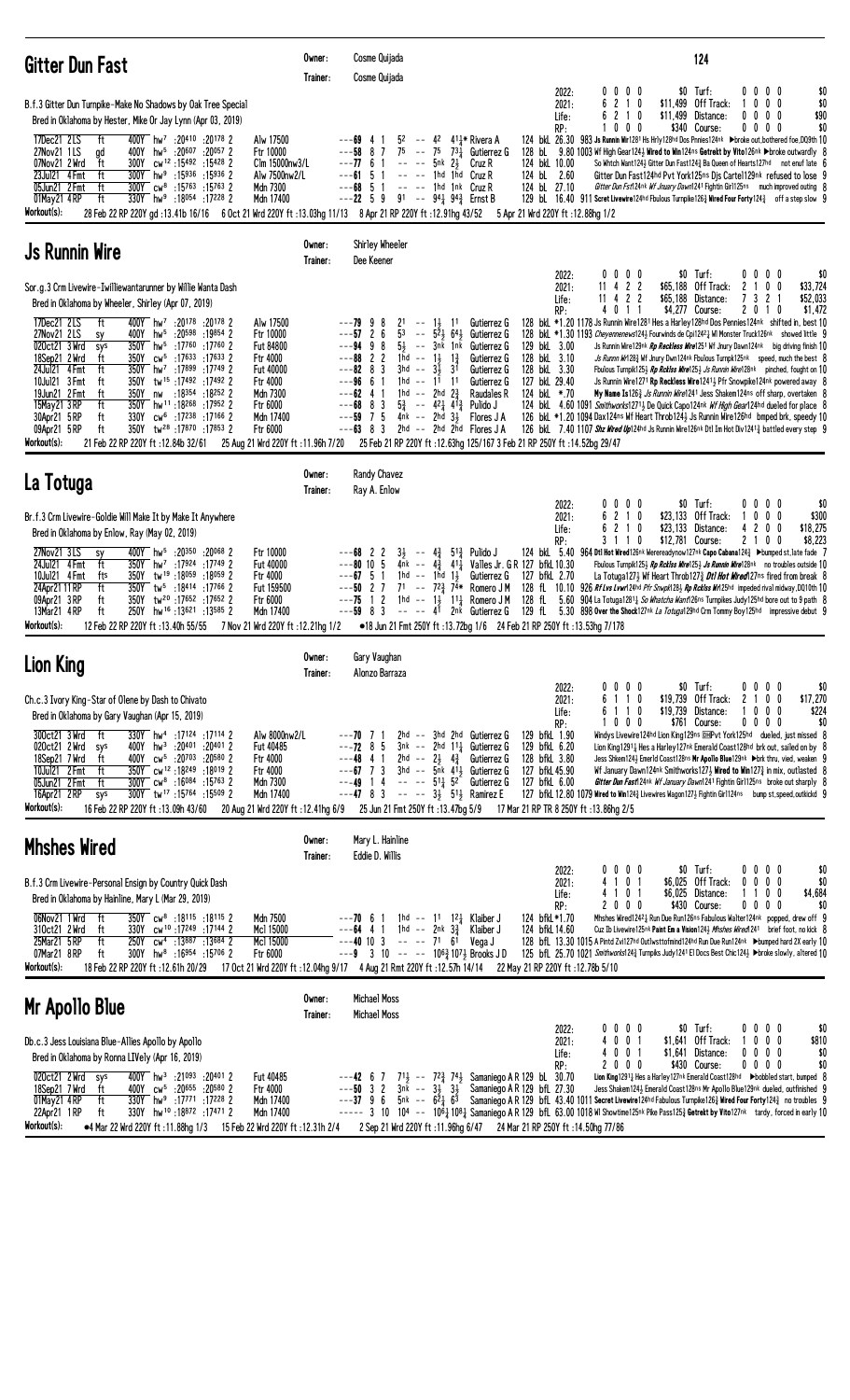| <b>Gitter Dun Fast</b>                                                                                                                                                                                                                                                                                                                                                                                                                                                                                                                                                                                                                                                                                                                                                                                                                                                                                                                                                                                                         | Owner:<br>Trainer: | Cosme Quijada<br>Cosme Quijada                                                                                                                                                                                                                     |                                                                                                                                                                                                                                                                                                                                                                                                                                                                     | 124                                                                                                                                                                                                                                                                                                                                                                                                                                                                                                                                                                                                                                                                                                                                                                                                                                                                                                                                                                                                                                                                                                                                                                                                                                                                                                                                                                                     |
|--------------------------------------------------------------------------------------------------------------------------------------------------------------------------------------------------------------------------------------------------------------------------------------------------------------------------------------------------------------------------------------------------------------------------------------------------------------------------------------------------------------------------------------------------------------------------------------------------------------------------------------------------------------------------------------------------------------------------------------------------------------------------------------------------------------------------------------------------------------------------------------------------------------------------------------------------------------------------------------------------------------------------------|--------------------|----------------------------------------------------------------------------------------------------------------------------------------------------------------------------------------------------------------------------------------------------|---------------------------------------------------------------------------------------------------------------------------------------------------------------------------------------------------------------------------------------------------------------------------------------------------------------------------------------------------------------------------------------------------------------------------------------------------------------------|-----------------------------------------------------------------------------------------------------------------------------------------------------------------------------------------------------------------------------------------------------------------------------------------------------------------------------------------------------------------------------------------------------------------------------------------------------------------------------------------------------------------------------------------------------------------------------------------------------------------------------------------------------------------------------------------------------------------------------------------------------------------------------------------------------------------------------------------------------------------------------------------------------------------------------------------------------------------------------------------------------------------------------------------------------------------------------------------------------------------------------------------------------------------------------------------------------------------------------------------------------------------------------------------------------------------------------------------------------------------------------------------|
| B.f.3 Gitter Dun Turnpike-Make No Shadows by Oak Tree Special<br>Bred in Oklahoma by Hester, Mike Or Jay Lynn (Apr 03, 2019)<br>17Dec21 2LS<br>400Y hw <sup>7</sup> :20410 :20178 2<br>Alw 17500<br>ft<br>27Nov21 1LS<br>hw <sup>5</sup> :20 <sup>607</sup> :20 <sup>057</sup> 2<br>gd<br>400Y<br>Ftr 10000<br>07Nov21 2 Wrd<br>300Y<br>cw <sup>12</sup> :15492:154282<br>Clm 15000nw3/L<br>ft<br>ft<br>23Jul21 4 Fmt<br>$300Y$ hw <sup>9</sup> :15936 :15936 2<br>Alw 7500nw2/L<br>300Y cw <sup>8</sup> :15763 :15763 2<br>05Jun21 2 Fmt<br>ft<br>Mdn 7300<br>ft<br>330Y hw <sup>9</sup> :18054 :17228 2<br>Mdn 17400<br>01May21 4RP<br>Workout(s):<br>28 Feb 22 RP 220Y gd:13.41b 16/16 6 Oct 21 Wrd 220Y ft:13.03hg 11/13 8 Apr 21 RP 220Y ft:12.91hg 43/52                                                                                                                                                                                                                                                                 |                    | 52<br>$---69$ 4<br>$- -$<br>75<br>$---58$ 8 7<br>$\sim$ $-$<br>$---77$ 6 1<br>$---61$ 5 1<br>$-68$ 5 1<br>$---22 \quad 5 \quad 9$                                                                                                                  | 4 <sup>2</sup> 4 <sup>1</sup> <sup>*</sup> Rivera A<br>$75$ $73\frac{1}{4}$ Gutierrez G<br>5nk 21<br>Cruz R<br>$---$ 1hd 1hd Cruz R<br>$---$ 1hd 1nk Cruz R<br>91 -- 94 $\frac{1}{4}$ 94 $\frac{3}{4}$ Ernst B                                                                                                                                                                                                                                                      | $$0$ Turf:<br>0000<br>0000<br>\$0<br>2022:<br>6 2 1 0<br>\$11,499 Off Track:<br>$0\quad0$<br>\$0<br>0<br>2021:<br>\$11,499<br>\$90<br>62<br>10<br>Distance:<br>$0\ 0\ 0\ 0$<br>Life:<br>$0\ 0\ 0$<br>\$340 Course:<br>$0\,0\,0\,0$<br>\$0<br>RP:<br>124 bkl 26.30 983 Js Runnin Wir1281 Hs Hrly128hd Dos Pnnies124nk >broke out, bothered foe, DQ9th 10<br>128 bL 9.80 1003 Wf High Gear124 } Wired to Win124ns Getrekt by Vito126nk ▶broke outwardly 8<br>124 bkL 10.00<br>So Whtch Want124 $\frac{1}{2}$ Gitter Dun Fast124 $\frac{3}{4}$ Ba Queen of Hearts127hd not enuf late 6<br>124 bL 2.60<br>Gitter Dun Fast124hd Pvt York125ns Dis Carte1129nk refused to lose 9<br>124 bL 27.10<br>Gitter Dun Fst124nk Wf Jnuary Dawn1241 Fightin Girl125ns much improved outing 8<br>129 bl. 16.40 911 Scret Livewire 124hd Fbulous Turnpike 126 $\frac{3}{4}$ Wired Four Forty 124 $\frac{3}{4}$ off a step slow 9<br>5 Apr 21 Wrd 220Y ft: 12.88hg 1/2                                                                                                                                                                                                                                                                                                                                                                                                                                    |
| <b>Js Runnin Wire</b>                                                                                                                                                                                                                                                                                                                                                                                                                                                                                                                                                                                                                                                                                                                                                                                                                                                                                                                                                                                                          | Owner:<br>Trainer: | Shirley Wheeler<br>Dee Keener                                                                                                                                                                                                                      |                                                                                                                                                                                                                                                                                                                                                                                                                                                                     |                                                                                                                                                                                                                                                                                                                                                                                                                                                                                                                                                                                                                                                                                                                                                                                                                                                                                                                                                                                                                                                                                                                                                                                                                                                                                                                                                                                         |
| Sor.g.3 Crm Livewire-Iwilliewantarunner by Willie Wanta Dash<br>Bred in Oklahoma by Wheeler, Shirley (Apr 07, 2019)<br>400Y hw <sup>7</sup> :20178 :20178 2<br>17Dec21 2LS<br>ft<br>Alw 17500<br>27Nov21 2LS<br>$hw^5$ :20598 :19854 2<br>Ftr 10000<br>400Y<br>sy<br>350Y<br>020ct21 3 Wrd<br>hw <sup>5</sup> :17760 :17760 2<br>Fut 84800<br>sys<br>350Y<br>$cw^5$ :17633 :17633 2<br>Ftr 4000<br>18Sep21 2 Wrd<br>ft<br>ft<br>350Y<br>hw <sup>7</sup> : 17899: 17749 2<br>24Jul21 4 Fmt<br><b>Fut 40000</b><br>tw <sup>15</sup> :17492:174922<br>10Jul21 3 Fmt<br>350Y<br>ft<br>Ftr 4000<br>:18 <sup>354</sup> :18 <sup>252</sup> 2<br>19Jun21 2 Fmt<br>ft<br>350Y<br>Mdn 7300<br>nw<br>hw <sup>11</sup> :18268 :17952 2<br>15May21 3 RP<br>ft<br>350Y<br>Ftr 6000<br>ft<br>330Y cw <sup>6</sup> :17 <sup>238</sup> :17166 2<br>Mdn 17400<br>30Apr21 5 RP<br>09Apr21 5RP<br>ft<br>350Y tw <sup>28</sup> :17870:178532<br>Ftr 6000<br>Workout(s):<br>21 Feb 22 RP 220Y ft: 12.84b 32/61<br>25 Aug 21 Wrd 220Y ft: 11.96h 7/20 |                    | 2 <sup>1</sup><br>-9<br>-8<br>$\sim$ $-$<br>53<br>---57<br>26<br>$\sim$ $\sim$<br>$5\frac{1}{2}$<br>$---94$ 9 8<br>$---88222$<br>-3<br>$3hd$ --<br>$---82$ 8<br>$---96661$<br>$1hd - -$<br>$---62$ 4 1<br>$---68$ 8 3<br>$--59$ 7 5<br>$---63$ 8 3 | Gutierrez G<br>$1\frac{1}{2}$ $1$ <sup>1</sup><br>$5\bar{2}$ $\frac{1}{2}$ $64\bar{3}$<br>Gutierrez G<br>-- 3nk 1nk<br>Gutierrez G<br>1hd -- $1\frac{1}{2}$ $1\frac{3}{4}$<br>Gutierrez G<br>3 <sup>1</sup><br>$3\overline{1}$<br>Gutierrez G<br>$11 \quad 11$<br>Gutierrez G<br>1hd -- 2hd $2\frac{3}{4}$<br>Raudales R<br>$5\frac{3}{2}$ -- $42\frac{1}{2}$ $41\frac{3}{2}$ Pulido J<br>$4nk$ -- $2hd$ $3\frac{1}{2}$<br>Flores J A<br>2hd $--$ 2hd 2hd Flores JA | $$0$ Turf:<br>0000<br>$0\,0\,0\,0$<br>\$0<br>2022:<br>$11$ 4 2 2<br>\$65,188 Off Track:<br>$0\quad 0$<br>\$33,724<br>2021:<br>2<br>\$65,188<br>3<br>\$52,033<br>11<br>4<br>22<br>Distance:<br>$\mathbf{2}$<br>Life:<br>4 0 1 1<br>\$4,277 Course:<br>2 0 1 0<br>\$1,472<br>RP:<br>128 bkl *1.20 1178 Js Runnin Wire1281 Hes a Harley128hd Dos Pennies124nk shifted in, best 10<br>128 bkl *1.30 1193 Cheyennenews124} Fourwinds de Cpi1242} WI Monster Truck126nk showed little 9<br>129 bkL 3.00<br>Js Runnin Wire129nk Rp Reckless Wire1251 Wf Jnury Dawn124nk big driving finish 10<br>128 bkL 3.10<br>Js Runnn Wr1283 Wf Jnury Dwn124nk Fbulous Turnpk125nk speed, much the best 8<br>128 bkL 3.30<br>Fbulous Turnpik125} Rp Rcklss Wire125} Js Runnin Wire128nk pinched, fought on 10<br>127 bkL 29.40<br>Js Runnin Wire1271 Rp Reckless Wire12411 Pfr Snowpike124nk powered away 8<br>124 bkL *.70<br>My Name Is126 <sup>3</sup> Js Runnin Wire1241 Jess Shakem124ns off sharp, overtaken 8<br>124 bkl 4.60 1091 Smithworks12713 De Quick Capo124nk Wf High Gear124hd dueled for place 8<br>126 bkL *1.20 1094 Dax124ns Wf Heart Throb1243 Js Runnin Wire126hd bmped brk, speedy 10<br>126 bkl 7.40 1107 Shz Wired Up124hd Js Runnin Wire126nk Dt1 Im Hot Div1241 <sup>3</sup> battled every step 9<br>25 Feb 21 RP 220Y ft : 12.63hg 125/167 3 Feb 21 RP 250Y ft : 14.52bg 29/47 |
| La Totuga                                                                                                                                                                                                                                                                                                                                                                                                                                                                                                                                                                                                                                                                                                                                                                                                                                                                                                                                                                                                                      | Owner:<br>Trainer: | Randy Chavez<br>Ray A. Enlow                                                                                                                                                                                                                       |                                                                                                                                                                                                                                                                                                                                                                                                                                                                     |                                                                                                                                                                                                                                                                                                                                                                                                                                                                                                                                                                                                                                                                                                                                                                                                                                                                                                                                                                                                                                                                                                                                                                                                                                                                                                                                                                                         |
| Br.f.3 Crm Livewire-Goldie Will Make It by Make It Anywhere<br>Bred in Oklahoma by Enlow, Ray (May 02, 2019)<br>27Nov21 3LS<br>400Y hw <sup>5</sup> :20350 :20068 2<br>Ftr 10000<br><b>SY</b><br>ft<br>Fut 40000<br>24Jul21 4 Fmt<br>350Y hw <sup>7</sup> :17924 :17749 2<br>10Jul21 4 Fmt<br>tw <sup>19</sup> :18059:180592<br>fts<br>350Y<br>Ftr 4000<br>ft<br>24Apr21 11 RP<br>350Y<br>tw <sup>5</sup> :18414 :17766 2<br>Fut 159500<br>350Y<br>09Apr21 3RP<br>ft<br>tw <sup>20</sup> :17652:176522<br>Ftr 6000<br>13Mar21 4RP<br>ft<br>250Y<br>hw <sup>16</sup> :13621:13585 2<br>Mdn 17400<br>Workout(s):<br>12 Feb 22 RP 220Y ft:13.40h 55/55<br>7 Nov 21 Wrd 220Y ft: 12.21hg 1/2                                                                                                                                                                                                                                                                                                                                       |                    | 31<br>$---68$ 2 2<br>$---80$ 10 5<br>$--67$ 5 1<br>$---50$ 2 7<br>$---75$ 1 2<br>$---59$ 8 3<br>$--- 41$                                                                                                                                           | -- 43 513 Pulido J<br>4nk -- $4\frac{3}{4}$ 411<br>1hd -- 1hd $1\frac{1}{2}$<br>Gutierrez G<br>$7^1$ -- $7^{2^3}$ $7^{4*}$<br>Romero J M<br>1hd -- $1\frac{1}{2}$ 1 <sup>1</sup> / <sub>4</sub> Romero J M<br>2 <sup>nk</sup> Gutierrez G                                                                                                                                                                                                                           | $$0$ Turf:<br>0000<br>0000<br>\$0<br>2022:<br>6 2 1 0<br>\$23,133 Off Track:<br>$0\quad0$<br>\$300<br>2021:<br>0<br>6 2 1 0<br>\$23,133 Distance:<br>0<br>0<br>\$18,275<br>$\mathbf{2}$<br>Life:<br>4<br>\$8,223<br>RP:<br>3 1 1 0<br>\$12,781 Course:<br>21<br>0<br>0<br>124 bkL 5.40 964 Dtl Hot Wired126nk Werereadynow127nk Capo Cabana124 $\frac{3}{4}$ ►bumped st, late fade<br>Valles Jr. G R 127 bfkL 10.30<br>Fbulous Turnpik125½ Rp Rcklss Wire125½ Js Runnin Wire128nk no troubles outside 10<br>127 bfkL 2.70<br>La Totuga127 $\frac{1}{2}$ Wf Heart Throb127 $\frac{3}{4}$ Dti Hot Wired127ns fired from break 8<br>128 fL<br>10.10<br>926 Rf Lvs Lvwr124hd Pfr Snwpk1283 Rp Rcklss Wr125hd impeded rival midway, DQ10th 10<br>128 fL<br>5.60 904 La Totuga1281 <sub>4</sub> So Whatcha Want126ns Turnpikes Judy 125hd bore out to 9 path 8<br>129 fL 5.30 898 Over the Shock127nk La Totuga129hd Crm Tommy Boy125hd impressive debut 9<br>●18 Jun 21 Fmt 250Y ft:13.72bg 1/6 24 Feb 21 RP 250Y ft:13.53hg 7/178                                                                                                                                                                                                                                                                                                                                                           |
| <b>Lion King</b>                                                                                                                                                                                                                                                                                                                                                                                                                                                                                                                                                                                                                                                                                                                                                                                                                                                                                                                                                                                                               | Owner:<br>Trainer: | Gary Vaughan<br>Alonzo Barraza                                                                                                                                                                                                                     |                                                                                                                                                                                                                                                                                                                                                                                                                                                                     |                                                                                                                                                                                                                                                                                                                                                                                                                                                                                                                                                                                                                                                                                                                                                                                                                                                                                                                                                                                                                                                                                                                                                                                                                                                                                                                                                                                         |
| Ch.c.3 Ivory King-Star of Olene by Dash to Chivato<br>Bred in Oklahoma by Gary Vaughan (Apr 15, 2019)<br>300ct21 3 Wrd<br>$-t$<br>330Y hw <sup>4</sup> :17124 :17114 2<br>Alw 8000nw2/L<br>020ct21 2 Wrd<br>400Y<br>hw <sup>3</sup> :20 <sup>401</sup> :20 <sup>401</sup> 2<br>Fut 40485<br>sys<br>ft<br>400Y cw <sup>5</sup> :20703 :20580 2<br>18Sep21 7 Wrd<br>Ftr 4000<br>10Jul21 2 Fmt<br>ft<br>350Y cw <sup>12</sup> :18249:18019 2<br>Ftr 4000<br>05Jun21 2 Fmt<br>ft<br>300Y cw <sup>8</sup> :16084 :15763 2<br>Mdn 7300<br>300Y tw <sup>17</sup> :15764:15509 2<br>16Apr21 2RP<br>Mdn 17400<br>sys<br>Workout(s):<br>16 Feb 22 RP 220Y ft: 13.09h 43/60                                                                                                                                                                                                                                                                                                                                                               |                    | ---70 7 1<br>$---72$ 8 5<br>$---48$ 4 1<br>$--67$ 7 3<br>$---49$ 14<br>$---47$ 8 3 $--- 3\frac{1}{2}$ 51 Ramirez E<br>20 Aug 21 Wrd 220Y ft :12.41hg 6/9 25 Jun 21 Fmt 250Y ft :13.47bg 5/9                                                        | 2hd -- 3hd 2hd Gutierrez G<br>$3nk$ -- $2hd$ $11\frac{1}{4}$ Gutierrez G<br>2hd -- $2\frac{1}{2}$ $4\frac{3}{4}$<br>Gutierrez G<br>3hd $-$ 5nk 41, Gutierrez G<br>$--- 51\frac{1}{4} 52$<br>Gutierrez G                                                                                                                                                                                                                                                             | $$0$ Turf:<br>0000<br>$0\,0\,0\,0$<br>\$0<br>2022:<br>\$19,739<br>Off Track:<br>\$17,270<br>2021:<br>6 1 1 0<br>0<br>0<br>2<br>\$224<br>6 1 1 0<br>\$19,739 Distance:<br>$0\,0\,0$<br>Life:<br>\$0<br>$0\ 0\ 0$<br>\$761 Course:<br>RP:<br>0000<br>Windys Livewire124hd Lion King129ns DHPvt York125hd dueled, just missed 8<br>129 bfkL 1.90<br>129 bfkL 6.20<br>Lion King 12911 Hes a Harley 127nk Emerald Coast 128hd brk out, sailed on by 8<br>128 bfkL 3.80<br>Jess Shkem124½ Emer1d Coast128ns Mr Apollo Blue129nk ▶brk thru, vied, weaken 9<br>127 bfkL 45.90<br>Wf January Dawn124nk Smithworks1273 Wired to Win127 $\frac{3}{2}$ in mix, outlasted 8<br>127 bfkL 6.00<br>Gitter Dun Fast 24nk Wf January Dawn1241 Fightin Girl125ns broke out sharply {<br>127 bfkl. 12.80 1079 Wired to Win1243 Livewires Wagon1273 Fightin Girl124ns bump st, speed, outkickd 9<br>17 Mar 21 RP TR 8 250Y ft: 13.86hg 2/5                                                                                                                                                                                                                                                                                                                                                                                                                                                                   |
| <b>Mhshes Wired</b>                                                                                                                                                                                                                                                                                                                                                                                                                                                                                                                                                                                                                                                                                                                                                                                                                                                                                                                                                                                                            | Owner:<br>Trainer: | Mary L. Hainline<br>Eddie D. Willis                                                                                                                                                                                                                |                                                                                                                                                                                                                                                                                                                                                                                                                                                                     |                                                                                                                                                                                                                                                                                                                                                                                                                                                                                                                                                                                                                                                                                                                                                                                                                                                                                                                                                                                                                                                                                                                                                                                                                                                                                                                                                                                         |
| B.f.3 Crm Livewire-Personal Ensign by Country Quick Dash<br>Bred in Oklahoma by Hainline, Mary L (Mar 29, 2019)<br>350Y cw <sup>8</sup> :18115 :18115 2<br>06Nov21 1 Wrd<br>ft –<br>Mdn 7500<br>cw <sup>10</sup> :17249:171442<br>310ct21 2 Wrd<br>ft<br>330Y<br>Mc1 15000<br>25Mar21 5 RP<br>ft<br>250Y<br>cw <sup>4</sup> :13887 :13684 2<br>Mc1 15000<br>hw <sup>8</sup> :16954:157062<br>07Mar21 8RP<br>ft<br>300Y<br>Ftr 6000<br>Workout(s):<br>18 Feb 22 RP 220Y ft: 12.61h 20/29                                                                                                                                                                                                                                                                                                                                                                                                                                                                                                                                        |                    | $---70$ 6 1<br>$---64$ 4 1 1 hd -- 2nk $3\frac{3}{4}$<br>$---40$ 10 3 $---$ 71 6 <sup>1</sup><br>$---9$ 3 10 -- -- 106 $\frac{3}{4}$ 107 $\frac{1}{2}$ Brooks JD<br>17 Oct 21 Wrd 220Y ft: 12.04hg 9/17 4 Aug 21 Rmt 220Y ft: 12.57h 14/14         | 1hd -- 11 12 $\frac{1}{4}$ Klaiber J<br>Klaiber J<br>Vega J                                                                                                                                                                                                                                                                                                                                                                                                         | $$0$ Turf:<br>$0\ 0\ 0\ 0$<br>$0\,0\,0\,0$<br>\$0<br>2022:<br>4 1 0 1<br>\$6,025 Off Track:<br>2021:<br>$0\quad 0$<br>$0\quad 0$<br>\$0<br>4 1 0 1<br>\$6,025 Distance:<br>1100<br>\$4,684<br>Life:<br>2000<br>\$430 Course:<br>00<br>$0\quad 0$<br>\$0<br>RP:<br>124 bfkL*1.70<br>Mhshes Wired12421 Run Due Run126ns Fabulous Walter124nk popped, drew off 9<br>124 bfkL 14.60<br>Cuz Ib Livewire125nk Paint Em a Vision1243 Mhshes Wired1241 brief foot, no kick 8<br>128 bfl 13.30 1015 A Pintd Zvi127hd Outlwsttofmind124hd Run Due Run124nk Dumped hard 2X early 10<br>125 bfL 25.70 1021 Smithworks1243 Turnpiks Judy1241 El Docs Best Chic1243 >broke slowly, altered 10<br>22 May 21 RP 220Y ft : 12.78b 5/10                                                                                                                                                                                                                                                                                                                                                                                                                                                                                                                                                                                                                                                                   |
| Mr Apollo Blue                                                                                                                                                                                                                                                                                                                                                                                                                                                                                                                                                                                                                                                                                                                                                                                                                                                                                                                                                                                                                 | Owner:<br>Trainer: | Michael Moss<br>Michael Moss                                                                                                                                                                                                                       |                                                                                                                                                                                                                                                                                                                                                                                                                                                                     |                                                                                                                                                                                                                                                                                                                                                                                                                                                                                                                                                                                                                                                                                                                                                                                                                                                                                                                                                                                                                                                                                                                                                                                                                                                                                                                                                                                         |
| Db.c.3 Jess Louisiana Blue-Allies Apollo by Apollo<br>Bred in Oklahoma by Ronna LIVely (Apr 16, 2019)<br>400Y hw <sup>3</sup> :21093 :20401 2<br>020ct21 2 Wrd sys<br>Fut 40485<br>400Y cw <sup>5</sup> :20655 :20580 2<br>18Sep21 7 Wrd<br>Ftr 4000<br>ft<br>330Y hw <sup>9</sup> :17771 :17228 2<br>Mdn 17400<br>01May21 4RP<br>ft                                                                                                                                                                                                                                                                                                                                                                                                                                                                                                                                                                                                                                                                                           |                    | $---42 \t 67$<br>$---50$ 3 2<br>$---37$ 9 6 5nk $--$ 6 <sup>2</sup> <sub>4</sub> 6 <sup>3</sup>                                                                                                                                                    | 71 <sup>1</sup> / <sub>2</sub> -- 7 <sup>2</sup> / <sub>4</sub> 74 <sup>1</sup> / <sub>2</sub> Samaniego A R 129 bL 30.70<br>$3n\bar{k}$ -- $3\frac{1}{2}$ $3\frac{1}{2}$                                                                                                                                                                                                                                                                                           | $$0$ Turf:<br>0000<br>$0\ 0\ 0\ 0$<br>\$0<br>2022:<br>4001<br>\$1,641 Off Track:<br>$0\ 0\ 0$<br>\$810<br>2021:<br>4001<br>\$1,641 Distance:<br>$0\,0\,0\,0$<br>\$0<br>Life:<br>\$0<br>2000<br>\$430 Course:<br>0000<br>RP:<br>Lion King1291 <sub>4</sub> Hes a Harley127nk Emerald Coast128hd Dbobbled start, bumped 8<br>Samaniego A R 129 bfL 27.30<br>Jess Shakem1243 Emerald Coast128ns Mr Apollo Blue129nk dueled, outfinished 9<br>Samaniego A R 129 bfl 43.40 1011 Secret Livewire124hd Fabulous Turnpike126 $\frac{3}{4}$ Wired Four Forty124 $\frac{3}{4}$ no troubles 9                                                                                                                                                                                                                                                                                                                                                                                                                                                                                                                                                                                                                                                                                                                                                                                                      |

22Apr21 1 RP ft 330Y hw <sup>10</sup> :18<sup>872</sup> :17<sup>471</sup> 2 Mdn 17400 ----- 3 10 10ª -- 10º½ Samaniego A R 129 bfL 63.00 1018 Wl Showtime125¤k Pike Pass125½ Getrekt by Vito127¤k tardy, forced in early 10 **Workout(s): •4** Mar 22 Wrd 220Y ft :11.88hg 1/3 15 Feb 22 Wrd 220Y ft :12.31h 2/4 2 Sep 21 Wrd 220Y ft :11.96hg 6/47 24 Mar 21 RP 250Y ft :14.50hg 77/86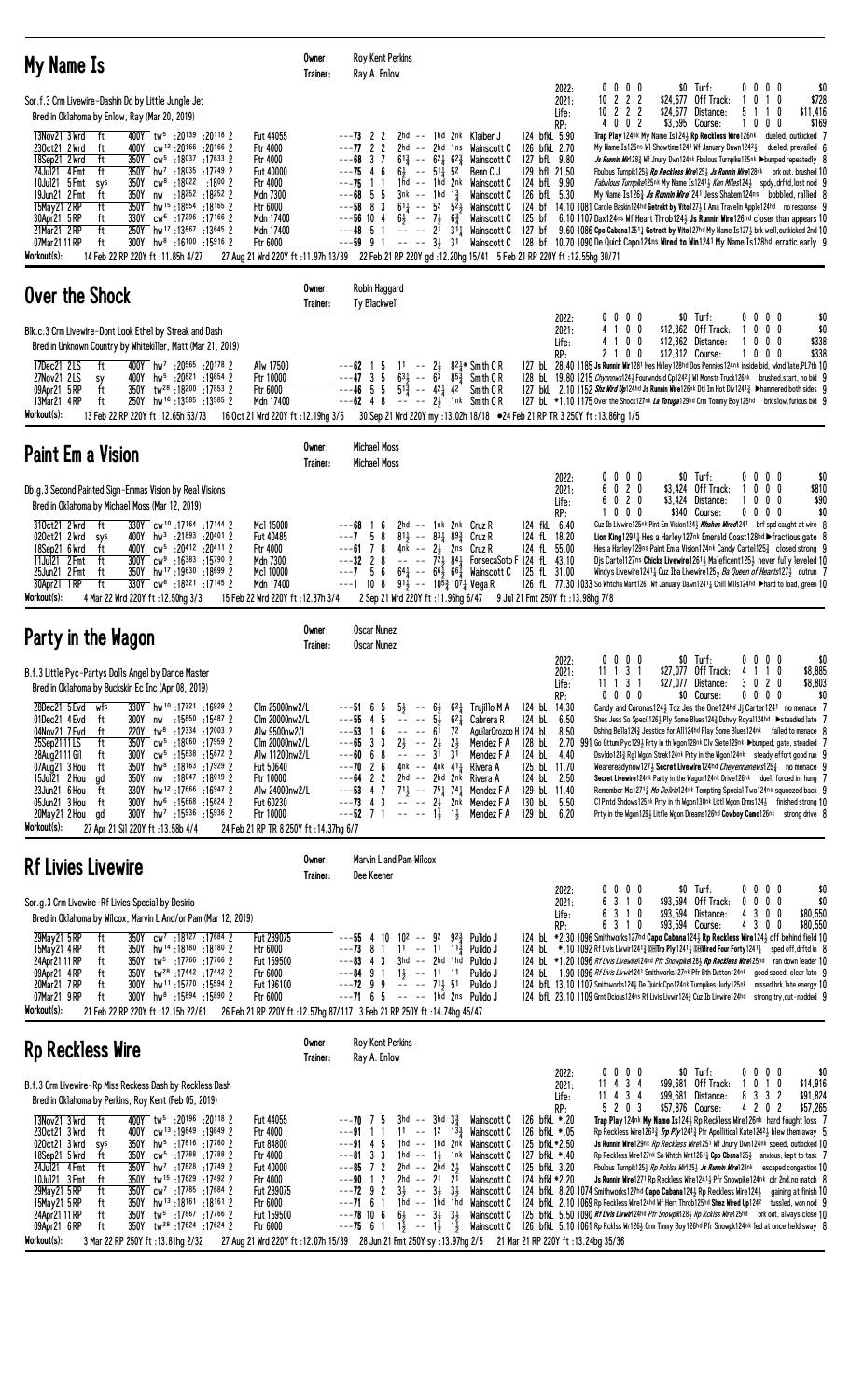| My Name Is                                                                                                                                                                                                                                                                                                                                                                                                                                                                                                                                                                                                                                                                                                                                                                                                                                                                                                                                                                                                                                                                                                                      | Owner:<br>Trainer: | <b>Roy Kent Perkins</b><br>Ray A. Enlow                                                                                                                                                                                                                                                                                                                                                                                                                                                                                                                                                                                                                                                                                                                                                                                                                                                                                                                                                                                                                                                                                                                                                                                                                                                                                                                                                                                                                                                                                                                                                                                                                                                                                                                                                                                                                                                                                                                                                                                                                                                                                       |
|---------------------------------------------------------------------------------------------------------------------------------------------------------------------------------------------------------------------------------------------------------------------------------------------------------------------------------------------------------------------------------------------------------------------------------------------------------------------------------------------------------------------------------------------------------------------------------------------------------------------------------------------------------------------------------------------------------------------------------------------------------------------------------------------------------------------------------------------------------------------------------------------------------------------------------------------------------------------------------------------------------------------------------------------------------------------------------------------------------------------------------|--------------------|-------------------------------------------------------------------------------------------------------------------------------------------------------------------------------------------------------------------------------------------------------------------------------------------------------------------------------------------------------------------------------------------------------------------------------------------------------------------------------------------------------------------------------------------------------------------------------------------------------------------------------------------------------------------------------------------------------------------------------------------------------------------------------------------------------------------------------------------------------------------------------------------------------------------------------------------------------------------------------------------------------------------------------------------------------------------------------------------------------------------------------------------------------------------------------------------------------------------------------------------------------------------------------------------------------------------------------------------------------------------------------------------------------------------------------------------------------------------------------------------------------------------------------------------------------------------------------------------------------------------------------------------------------------------------------------------------------------------------------------------------------------------------------------------------------------------------------------------------------------------------------------------------------------------------------------------------------------------------------------------------------------------------------------------------------------------------------------------------------------------------------|
| Sor.f.3 Crm Livewire-Dashin Dd by Little Jungle Jet<br>Bred in Oklahoma by Enlow, Ray (Mar 20, 2019)<br>13Nov21 3 Wrd<br>400Y tw <sup>5</sup> :20139 :20118 2<br>ft<br>Fut 44055<br>230ct21 2 Wrd<br>400Y<br>cw <sup>12</sup> :20 <sup>166</sup><br>:20166 2<br>Ftr 4000<br>ft<br>18Sep21 2 Wrd<br>ft<br>350Y cw <sup>5</sup> :18037 :17633 2<br>Ftr 4000<br>350Y hw <sup>7</sup> :18035 :17749 2<br>ft<br><b>Fut 40000</b><br>24Jul21 4 Fmt<br>10Jul21 5 Fmt<br>cw <sup>8</sup> :18022<br>:1800 2<br>Ftr 4000<br>350Y<br>sys<br>ft<br>$:18252:18252$ 2<br>Mdn 7300<br>19Jun21 2 Fmt<br>350Y<br>nw<br>ft<br>hw <sup>15</sup> :18 <sup>554</sup> :18 <sup>165</sup> 2<br>15May21 2RP<br>350Y<br>Ftr 6000<br>330Y cw <sup>6</sup> :17296 :17166 2<br>Mdn 17400<br>30Apr21 5 RP<br>ft<br>21Mar21 2RP<br>ft<br>250Y hw <sup>17</sup> :13867 :13645 2<br>Mdn 17400<br>300Y hw <sup>8</sup> :16100 :15916 2<br>Ftr 6000<br>07Mar21 11 RP<br>ft<br>Workout(s):<br>14 Feb 22 RP 220Y ft: 11.85h 4/27                                                                                                                                    |                    | 0 0 0 0<br>\$0 Turf:<br>0000<br>\$0<br>2022:<br>$10$ 2 2 2<br>\$24,677 Off Track:<br>$0 \quad 1 \quad 0$<br>\$728<br>2021:<br>$10$ 2 2 2<br>\$24,677<br>Distance:<br>5<br>-1<br>0<br>\$11,416<br>Life:<br>4 0 0 2<br>\$3,595 Course:<br>0<br>0<br>\$169<br>RP:<br>0<br>$---73$ 2 2<br>$2hd - - 1hd 2nk$ Klaiber J<br>124 bfkL 5.90<br>Trap Play 124nk My Name Is1243 Rp Reckless Wire126nk dueled, outkicked 7<br>$---77222$<br>2hd -- 2hd 1ns Wainscott C<br>126 bfkL 2.70<br>My Name Is126ns WI Showtime1241 Wf January Dawn12423 dueled, prevailed 6<br>$--68$ 3 7<br>$6^{13}$ -- $6^{21}$ $6^{23}$<br>127 bfL 9.80<br>Js Runnin Wir1283 Wf Jnury Dwn124nk Fbulous Turnpike125nk >bumped repeatedly 8<br>Wainscott C<br>$6\frac{1}{2}$ -- $51\frac{1}{4}$ 52<br>$---75$ 4 6<br>Benn C J<br>129 bfL 21.50<br>Fbulous Turnpik125 $\frac{1}{2}$ Rp Reckless Wire125 $\frac{1}{2}$ Js Runnin Wire128nk brk out, brushed 10<br>$---75$ 1 1<br>1hd $--$ 1hd 2nk Wainscott C<br>124 bfL 9.90<br><i>Fabulous Turnpike</i> 125nk My Name Is1241 <sub>2</sub> Ken Miles124 <sub>2</sub> spdy, drftd, lost nod 9<br>$--68$ 5 5<br>$3nk$ -- 1hd $1\frac{3}{4}$<br>126 bfL 5.30<br>My Name Is1263 Js Runnin Wire1241 Jess Shakem124ns bobbled, rallied 8<br>Wainscott C<br>$---58$ 8 3<br>$6^{11}$ -- 5 <sup>2</sup> 5 <sup>2</sup> <b>Wainscott C</b><br>124 bf 14.10 1081 Carole Baskin124hd Getrekt by Vito127 $\frac{1}{2}$ I Ama Travelin Apple124hd no response 9<br>$---56$ 10 4<br>$6\frac{1}{2}$ -- $7\frac{1}{2}$ $6\frac{3}{4}$<br>6.10 1107 Dax124ns Wf Heart Throb124} Js Runnin Wire126hd closer than appears 10<br>Wainscott C<br>125 bf<br>$---48$ 5 1<br>$   2^{1}$ $3^{11}$ Wainscott C<br>127 bf $9.60$ 1086 Cpo Cabana 1251 $\frac{1}{4}$ Getrekt by Vito 127hd My Name Is 127 $\frac{1}{2}$ brk well, outkicked 2nd 10<br>$-- -3\frac{1}{2}$ 31<br>Wainscott C 128 bf 10.70 1090 De Quick Capo124ns Wired to Win1241 My Name Is128hd erratic early 9<br>$---59$ 9 1<br>27 Aug 21 Wrd 220Y ft:11.97h 13/39 22 Feb 21 RP 220Y gd:12.20hg 15/41 5 Feb 21 RP 220Y ft:12.55hg 30/71                                     |
| Over the Shock                                                                                                                                                                                                                                                                                                                                                                                                                                                                                                                                                                                                                                                                                                                                                                                                                                                                                                                                                                                                                                                                                                                  | Owner:<br>Trainer: | Robin Haggard<br>Ty Blackwell                                                                                                                                                                                                                                                                                                                                                                                                                                                                                                                                                                                                                                                                                                                                                                                                                                                                                                                                                                                                                                                                                                                                                                                                                                                                                                                                                                                                                                                                                                                                                                                                                                                                                                                                                                                                                                                                                                                                                                                                                                                                                                 |
| Blk.c.3 Crm Livewire-Dont Look Ethel by Streak and Dash<br>Bred in Unknown Country by Whitekiller, Matt (Mar 21, 2019)<br>17Dec21 2LS<br>ft<br>400Y hw <sup>7</sup> :20565 :20178 2<br>Alw 17500<br>Ftr 10000<br>400Y hw <sup>5</sup> :20821 :19854 2<br>27Nov21 2LS<br>sy<br>ft<br>09Apr21 5RP<br>350Y tw <sup>28</sup> :18 <sup>200</sup> :178532<br>Ftr 6000<br>13Mar21 4RP<br>ft<br>250Y hw <sup>16</sup> :13585:13585 2<br>Mdn 17400<br>Workout(s):<br>13 Feb 22 RP 220Y ft: 12.65h 53/73<br>16 Oct 21 Wrd 220Y ft:12.19hg 3/6                                                                                                                                                                                                                                                                                                                                                                                                                                                                                                                                                                                             |                    | $$0$ Turf:<br>$0\,0\,0\,0$<br>0000<br>\$0<br>2022:<br>4 1 0 0<br>\$12,362 Off Track:<br>$0\,$ $0\,$ $0\,$<br>\$0<br>2021:<br>$0\quad 0$<br>\$12,362 Distance:<br>\$338<br>$0\,$ $0\,$ $0\,$<br>Life:<br>41<br>\$12,312 Course:<br>\$338<br>2100<br>1000<br>RP:<br>127 bl 28.40 1185 Js Runnin Wir1281 Hes Hrley128hd Dos Pennies124nk inside bid, wknd late, PL7th 10<br>$--62$ 1 5<br>$11 - -2\frac{1}{2}$<br>821* Smith C R<br>$---47$ 3 5<br>$63\frac{1}{2}$ -- $6\overline{3}$<br>$85\frac{3}{4}$ Smith C R<br>128 bl 19.80 1215 Chynnnws124} Fourwnds d Cp1242} WI Monstr Truck126nk brushed, start, no bid 9<br>$--46$ 5 5<br>$51\frac{5}{4}$ -- $42\frac{1}{4}$ $42\frac{1}{4}$<br>127 bkL 2.10 1152 Shz Wird Up124hd Js Runnin Wire126nk Dtl Im Hot Div12413 >hammered both sides 9<br>Smith C <sub>R</sub><br>$---62$ 4 8<br>$--- 23$ 1nk Smith C R<br>127 bl *1.10 1175 Over the Shock127nk La Totuga129hd Crm Tommy Boy125hd brk slow, furious bid 9<br>30 Sep 21 Wrd 220Y my :13.02h 18/18 ●24 Feb 21 RP TR 3 250Y ft :13.86hg 1/5                                                                                                                                                                                                                                                                                                                                                                                                                                                                                                                                                                                                                                                                                                                                                                                                                                                                                                                                                                                                                                                                                |
| <b>Paint Em a Vision</b>                                                                                                                                                                                                                                                                                                                                                                                                                                                                                                                                                                                                                                                                                                                                                                                                                                                                                                                                                                                                                                                                                                        | Owner:<br>Trainer: | <b>Michael Moss</b><br>Michael Moss                                                                                                                                                                                                                                                                                                                                                                                                                                                                                                                                                                                                                                                                                                                                                                                                                                                                                                                                                                                                                                                                                                                                                                                                                                                                                                                                                                                                                                                                                                                                                                                                                                                                                                                                                                                                                                                                                                                                                                                                                                                                                           |
| Db.g.3 Second Painted Sign-Emmas Vision by Real Visions<br>Bred in Oklahoma by Michael Moss (Mar 12, 2019)<br>330Y cw <sup>10</sup> :17164 :17144 2<br>310ct21 2 Wrd<br>ft<br>Mcl 15000<br>020ct21 2 Wrd<br>400Y hw <sup>3</sup> :21893 :20401 2<br>Fut 40485<br>sys<br>400Y cw <sup>5</sup> :20412 :20411 2<br>18Sep21 6 Wrd<br>ft<br>Ftr 4000<br>11Jul21 2 Fmt<br>ft<br>300Y cw <sup>9</sup> :16383 :15790 2<br>Mdn 7300<br>ft<br>350Y<br>hw <sup>17</sup> :19 <sup>630</sup> :18 <sup>699</sup> 2<br>25Jun21 2 Fmt<br>Mc1 10000<br>ft<br>330Y cw <sup>6</sup> :18321 :17145 2<br>Mdn 17400<br>30Apr21 1RP<br>Workout(s):<br>15 Feb 22 Wrd 220Y ft : 12.37h 3/4<br>4 Mar 22 Wrd 220Y ft: 12.50hg 3/3                                                                                                                                                                                                                                                                                                                                                                                                                          |                    | \$0 Turf:<br>2022:<br>$0\,0\,0\,0$<br>0000<br>\$0<br>6 0 2 0<br>\$3,424 Off Track:<br>$0\ 0\ 0$<br>\$810<br>2021:<br>6020<br>\$90<br>\$3,424 Distance:<br>$0\,$ $0\,$ $0\,$<br>Life:<br>1000<br>\$340 Course:<br>$0\ 0\ 0\ 0$<br>\$0<br>RP:<br>2hd $--$ 1nk 2nk Cruz R<br>124 fkL 6.40<br>Cuz Ib Livwire125nk Pint Em Vision1243 Mhshes Wired1241 brf spd caught at wire 8<br>---68<br>6<br>-1<br>$---7$ 58<br>$8^{11}$ -- $8^{31}$ $8^{93}$ Cruz R<br>124 fL 18.20<br><b>Lion King</b> 1291 $\frac{1}{4}$ Hes a Harley 127 <sup>nk</sup> Emerald Coast 128 <sup>hd</sup> $\blacktriangleright$ fractious gate 8<br>$--61$ 7 8<br>4nk -- $2\frac{1}{2}$ 2ns Cruz R<br>124 fL 55.00<br>Hes a Harley 129ns Paint Em a Vision 124nk Candy Cartel 125 <sup>3</sup> closed strong 9<br>$  7\overline{2}$ $84\overline{4}$ FonsecaSoto F 124 fL<br>$---32$ 2 8<br>43.10<br>Dis Cartel127ns Chicks Livewire12613 Maleficent1253 never fully leveled 10<br>6<br>$64\frac{1}{4}$ -- $66\frac{1}{2}$ 6 <sup>6</sup> $\frac{1}{4}$ Wainscott C 125 fl 31.00<br>5<br>Windys Livewire12411 Cuz Iba Livewire1251 Ba Queen of Hearts1271 outrun 7<br>---7<br>126 fL 77.30 1033 So Whtcha Want1261 Wf January Dawn1241} Chill Wills124hd ▶hard to load, green 10<br>91 $\frac{1}{2}$ -- 10 <sup>5</sup> $\frac{3}{4}$ 10 <sup>7</sup> $\frac{1}{4}$ Vega R<br>$---1$ 10 8<br>2 Sep 21 Wrd 220Y ft: 11.96hg 6/47 9 Jul 21 Fmt 250Y ft: 13.98hg 7/8                                                                                                                                                                                                                                                                                                                                                                                                                                                                                                                                                                                                                                                                                             |
| Party in the Wagon                                                                                                                                                                                                                                                                                                                                                                                                                                                                                                                                                                                                                                                                                                                                                                                                                                                                                                                                                                                                                                                                                                              | Owner:<br>Trainer: | <b>Oscar Nunez</b><br>Oscar Nunez                                                                                                                                                                                                                                                                                                                                                                                                                                                                                                                                                                                                                                                                                                                                                                                                                                                                                                                                                                                                                                                                                                                                                                                                                                                                                                                                                                                                                                                                                                                                                                                                                                                                                                                                                                                                                                                                                                                                                                                                                                                                                             |
| B.f.3 Little Pyc-Partys Dolls Angel by Dance Master<br>Bred in Oklahoma by Buckskin Ec Inc (Apr 08, 2019)<br>28Dec21 5 Evd<br>330Y hw <sup>10</sup> :17321:16929 2<br>wfs<br>Clm 25000nw2/L<br>:15 <sup>850</sup> :15 <sup>487</sup> 2<br>01Dec21 4 Evd<br>ft<br>300Y<br>Clm 20000nw2/L<br>nw<br>04Nov21 7 Evd<br>ft<br>220Y<br>tw <sup>8</sup> :12 <sup>334</sup> :12 <sup>003</sup> 2<br>Alw 9500nw2/L<br>25Sep2111LS<br>ft<br>350Y cw <sup>5</sup> :18060 :17959 2<br>Clm 20000nw2/L<br>28Aug2111 Gil<br>cw <sup>5</sup> :15838 :15672 2<br>Alw 11200nw2/L<br>ft<br>300Y<br>07Aug21 3 Hou<br>350Y<br>hw <sup>8</sup><br>:18 <sup>163</sup> :17 <sup>929</sup> 2<br>Fut 50640<br>ft<br>15Jul21 2 Hou<br>350Y<br>:18 <sup>047</sup> :18 <sup>019</sup> 2<br>Ftr 10000<br>nw<br>ad<br>hw <sup>12</sup> :17666:169472<br>330Y<br>Alw 24000nw2/L<br>23Jun21 6 Hou<br>ft<br>05Jun21 3 Hou<br>hw <sup>6</sup> :15668:156242<br>Fut 60230<br>ft<br>300Y<br>20May21 2 Hou<br>$300Y$ hw <sup>7</sup> :15936 :15936 2<br>Ftr 10000<br>gd<br>Workout(s):<br>27 Apr 21 Sil 220Y ft: 13.58b 4/4<br>24 Feb 21 RP TR 8 250Y ft : 14.37hg 6/7 |                    | $0\ 0\ 0\ 0$<br>2022:<br>\$0 Turf:<br>0000<br>\$0<br>$11$ 1 3 1<br>$1\quad1\quad0$<br>\$8,885<br>\$27,077 Off Track:<br>4<br>2021:<br>11 1 3 1<br>\$27,077 Distance:<br>3<br>\$8,803<br>020<br>Life:<br>$0\ 0\ 0\ 0$<br>\$0 Course:<br>0000<br>\$0<br>RP:<br>124 bL 14.30<br>Candy and Coronas1243 Tdz Jes the One124hd Jj Carter1241 no menace 7<br>$---516$<br>-5<br>$5\frac{1}{2}$<br>$- - 6\frac{1}{2}$<br>$62$ Trujillo M A<br>$5\frac{1}{2}$<br>5<br>---55<br>- 4<br>$\sim$ $ \sim$ $\sim$<br>$6^{2}$ +<br>124 bL<br>6.50<br>Shes Jess So Specil126} Ply Some Blues124} Dshwy Royal124hd ▶ steadied late<br>Cabrera R<br>$--53$<br>6<br>$-- -- 61$<br>72<br>AguilarOrozco H 124 bL<br>Dshing Bella124 <sup>3</sup> Jesstice for All124hd Play Some Blues124nk failed to menace 8<br>-1<br>8.50<br>128 bL<br>$---65$ 3 3<br>2}<br>$-- 2\frac{1}{2}$ $2\frac{1}{2}$<br>Mendez F A<br>2.70 991 Go Gttum Pyc129} Prty in th Wgon128nk Clv Siete129nk ▶bumped, gate, steadied 7<br>3 <sup>1</sup><br>6<br>8<br>3 <sup>1</sup><br>124 bL<br>Mendez F A<br>4.40<br>---60<br>Dsvldo124} Rg1 Wgon Strek124nk Prty in the Wgon124nk steady effort good run 9<br>125 bL 11.70<br>2<br>6<br>4nk -- 4nk 41 <sub>7</sub><br>---70<br>Rivera A<br>Wearereadynow1273 Secret Livewire124hd <i>Cheyennenews</i> 125 $\frac{3}{4}$ no menace 9<br>$---64$ 2 2<br>2hd -- 2hd 2nk<br>124 bL 2.50<br>Secret Livewire124nk Party in the Wagon124nk Drive126nk duel, forced in, hung 7<br>Rivera A<br>$---53$ 4 7<br>71 $\frac{1}{2}$ -- 7 <sup>5</sup> $\frac{1}{4}$ 74 $\frac{1}{4}$ Mendez F A<br>129 bL 11.40<br>Remember Mc12713 <i>Mo Delirio</i> 124nk Tempting Special Two124ns squeezed back 9<br>$---73$ 4 3<br>$-- -22$ 2nk Mendez FA<br>130 bL<br>5.50<br>CI Pintd Shdows125nk Prty in th Wgon130nk Littl Wgon Drms1243 finished strong 10<br>$---52$ 7 1 -- -- $1\frac{1}{2}$ 1<br>129 bL 6.20<br>Prty in the Wgon129} Little Wgon Dreams126hd Cowboy Camo126nk strong drive 8<br>Mendez F A                                                                                                                                       |
| <b>Rf Livies Livewire</b>                                                                                                                                                                                                                                                                                                                                                                                                                                                                                                                                                                                                                                                                                                                                                                                                                                                                                                                                                                                                                                                                                                       | Owner:<br>Trainer: | Marvin L and Pam Wilcox<br>Dee Keener                                                                                                                                                                                                                                                                                                                                                                                                                                                                                                                                                                                                                                                                                                                                                                                                                                                                                                                                                                                                                                                                                                                                                                                                                                                                                                                                                                                                                                                                                                                                                                                                                                                                                                                                                                                                                                                                                                                                                                                                                                                                                         |
| Sor.g.3 Crm Livewire-Rf Livies Special by Desirio<br>Bred in Oklahoma by Wilcox, Marvin L And/or Pam (Mar 12, 2019)<br>29May 21 5 RP<br>ft<br>350Y<br>cw <sup>7</sup> :18127:17684 2<br>Fut 289075<br>15May21 4RP<br>ft<br>350Y hw <sup>14</sup> :18180:181802<br>Ftr 6000<br>24Apr21 11 RP<br>ft<br>350Y tw <sup>5</sup> :17766 :17766 2<br>Fut 159500<br>350Y tw <sup>28</sup> :17442:174422<br>09Apr21 4RP<br>ft<br>Ftr 6000<br>20Mar21 7RP<br>ft<br>hw <sup>11</sup> :15770:15594 2<br>Fut 196100<br>300Y<br>300Y hw <sup>8</sup> :15894 :15890 2<br>07Mar21 9RP<br>Ftr 6000<br>ft<br>Workout(s):<br>21 Feb 22 RP 220Y ft : 12.15h 22/61                                                                                                                                                                                                                                                                                                                                                                                                                                                                                    |                    | $0\ 0\ 0\ 0$<br>\$0 Turf:<br>0000<br>\$0<br>2022:<br>6 3 1 0<br>\$93,594 Off Track:<br>$0\ 0\ 0$<br>\$0<br>0<br>2021:<br>6 3 1 0<br>\$93,594 Distance:<br>\$80,550<br>4 3 0 0<br>Life:<br>6 3 1 0<br>\$93,594 Course:<br>4300<br>\$80,550<br>RP:<br>124 bl *2.30 1096 Smithworks127hd Capo Cabana1243 Rp Reckless Wire1243 off behind field 10<br>102 -- 92<br>923<br>Pulido J<br>$---55$ 4 10<br>$---73$ 8 1 1 $---$ 1 1 1 <sup>3</sup><br>124 bl. *.10 1092 Rf Livis Livwir1241 <sup>3</sup> DHITrp Ply 1241 <sup>1</sup> DHI Wired Four Forty 1241 <sup>1</sup> sped off, drftd in 8<br>Pulido J<br>$---83$ 4 3 3hd $---$ 2hd 1hd<br>Pulido J<br>124 bl *1.20 1096 Rf Livis Livewire124hd Pfr Snowpike1283 Rp Reckless Wire125hd ran down leader 10<br>$---84$ 9 1<br>$1\frac{1}{2}$ -- 11 11<br>124 bl 1.90 1096 Rf Livis Livwir1241 Smithworks127nk Pfr Bth Dutton124nk good speed, clear late 9<br>Pulido J<br>$---72$ 9 9<br>$  -$ 711 51<br>Pulido J<br>124 bfl. 13.10 1107 Smithworks124} De Quick Cpo124nk Turnpikes Judy125nk missed brk, late energy 10<br>$---71$ 6 5 $---$ 1hd 2ns Pulido J<br>124 bfl. 23.10 1109 Grnt Dcious124ns Rf Livis Livwir124 <sub>2</sub> Cuz Ib Livwire124hd strong try,out-nodded 9<br>26 Feb 21 RP 220Y ft : 12.57hg 87/117 3 Feb 21 RP 250Y ft : 14.74hg 45/47                                                                                                                                                                                                                                                                                                                                                                                                                                                                                                                                                                                                                                                                                                                                                                                                                    |
| <b>Rp Reckless Wire</b>                                                                                                                                                                                                                                                                                                                                                                                                                                                                                                                                                                                                                                                                                                                                                                                                                                                                                                                                                                                                                                                                                                         | Owner:<br>Trainer: | <b>Roy Kent Perkins</b><br>Ray A. Enlow                                                                                                                                                                                                                                                                                                                                                                                                                                                                                                                                                                                                                                                                                                                                                                                                                                                                                                                                                                                                                                                                                                                                                                                                                                                                                                                                                                                                                                                                                                                                                                                                                                                                                                                                                                                                                                                                                                                                                                                                                                                                                       |
| B.f.3 Crm Livewire-Rp Miss Reckess Dash by Reckless Dash<br>Bred in Oklahoma by Perkins, Roy Kent (Feb 05, 2019)<br>13Nov21 3 Wrd<br>400Y tw <sup>5</sup> :20196 :20118 2<br>ft<br>Fut 44055<br>400Y cw <sup>13</sup> :19849:19849 2<br>230ct21 3 Wrd<br>ft<br>Ftr 4000<br>020ct21 3 Wrd<br>350Y hw <sup>5</sup> :17816 :17760 2<br>Fut 84800<br>sys<br>18Sep21 5 Wrd<br>cw <sup>5</sup> :17 <sup>788</sup> :17 <sup>788</sup> 2<br>ft<br>350Y<br>Ftr 4000<br>24Jul21 4 Fmt<br>350Y hw <sup>7</sup> :17828 :17749 2<br>ft<br><b>Fut 40000</b><br>10Jul21 3 Fmt<br>350Y tw <sup>15</sup> :17629:174922<br>Ftr 4000<br>ft<br>29May21 5 RP<br>ft<br>350Y cw <sup>7</sup> :17 <sup>785</sup> :17684 2<br>Fut 289075<br>ft<br>350Y hw <sup>13</sup> :18161:181612<br>Ftr 6000<br>15May21 5 RP<br>ft<br>350Y tw <sup>5</sup> :17867 :17766 2<br>Fut 159500<br>24Apr21 11 RP<br>350Y tw <sup>28</sup> :17624:176242<br>09Apr21 6RP<br>ft<br>Ftr 6000<br>Workout(s):<br>3 Mar 22 RP 250Y ft: 13.81hg 2/32                                                                                                                               |                    | $0\ 0\ 0\ 0$<br>$$0$ Turf:<br>2022:<br>0000<br>\$0<br>11 4 3 4<br>\$99,681 Off Track:<br>\$14,916<br>0<br>$\overline{1}$<br>0<br>2021:<br>$11$ 4 3 4<br>\$99,681 Distance:<br>8 3 3 2<br>\$91,824<br>Life:<br>5 2 0 3<br>\$57,876 Course:<br>4 2 0 2<br>\$57,265<br>RP:<br>$3hd$ -- $3hd$ $3\frac{3}{4}$<br>126 bfkL *.20<br>Trap Play 124nk My Name Is1243 Rp Reckless Wire126nk hard fought loss 7<br>$---70$ 7 5<br><b>Wainscott C</b><br>11 -- 12 13 $\frac{3}{4}$ Wainscott C<br>$---91$ 1 1<br>126 bfkL *.05<br>Rp Reckless Wire12633 Trp Ply12413 Pfr Apollitical Kate12421 blew them away 5<br>$--91$ 4 5<br>1hd -- 1hd 2nk Wainscott C<br>125 bfkL*2.50<br>Js Runnin Wire129nk Rp Reckless Wire1251 Wf Jnury Dwn124nk speed, outkicked 10<br>$---81 \quad 3 \quad 3$<br>$1hd - -$<br>1} 1 <sup>nk</sup> Wainscott C<br>127 bfkL *.40<br>Rp Reckless Wire127nk So Whtch Wnt12611 Cpo Cbana1251 anxious, kept to task 7<br>$--85$ 7 2<br>2hd -- 2hd $2\frac{1}{2}$<br>125 bfkL 3.20<br>Fbulous Turnpik125 $\frac{1}{2}$ Rp Rcklss Wir125 $\frac{1}{2}$ Js Runnin Wire128 <sup>nk</sup> escaped congestion 10<br>Wainscott C<br>$---90$ 1 2<br>$2hd - 21$ $21$<br>Wainscott C<br>124 bfkL*2.20<br>Js Runnin Wire1271 Rp Reckless Wire12413 Pfr Snowpike124nk clr 2nd, no match 8<br>$---72$ 9 2<br>$3\frac{1}{2}$ -- $3\frac{1}{2}$ $3\frac{1}{2}$<br>124 bfkL 8.20 1074 Smithworks127hd Capo Cabana1243 Rp Reckless Wire1243 gaining at finish 10<br><b>Wainscott C</b><br>$---71$ 6 1<br>1hd -- 1hd 1hd<br>Wainscott C<br>124 bfkl 2.10 1069 Rp Reckless Wire124hd Wf Hert Throb125hd Shez Wired Up1242 tussled, won nod 9<br>125 bfkl 5.50 1090 Rf Livis Livwir124hd Pfr Snowpik1283 Rp Rcklss Wire125hd brk out, always close 10<br>$---78$ 10 6<br>$6\frac{1}{2}$ -- $3\frac{1}{2}$<br>$3\frac{1}{2}$<br>Wainscott C<br>$---75$ 6 1<br>$1\frac{1}{2}$ -- $1\frac{1}{2}$ $1\frac{1}{2}$<br>Wainscott C 126 bfkL 5.10 1061 Rp Rcklss Wr126 2 Crm Tmmy Boy126hd Pfr Snowpk124nk led at once, held sway 8<br>28 Jun 21 Fmt 250Y sy : 13.97hg 2/5 21 Mar 21 RP 220Y ft : 13.24bg 35/36 171 Pull 20 V ft : 13.24bg 35/36 |